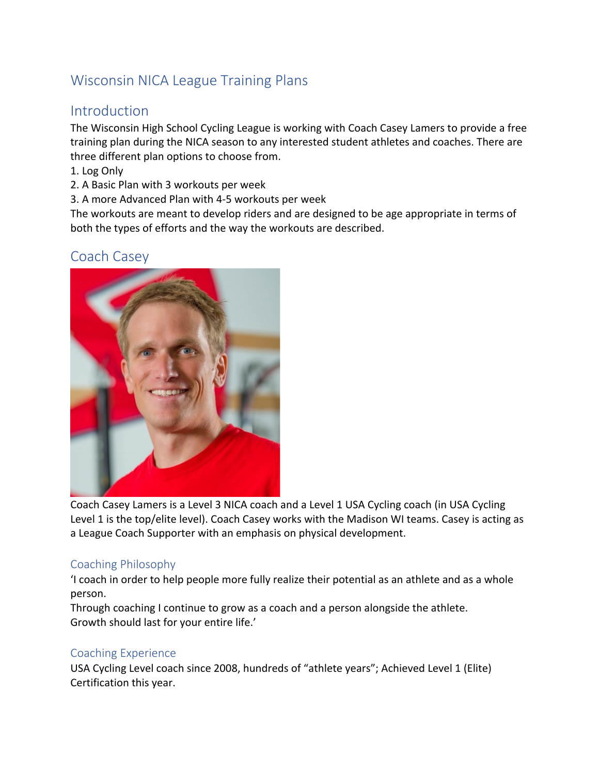## Wisconsin NICA League Training Plans

## **Introduction**

The Wisconsin High School Cycling League is working with Coach Casey Lamers to provide a free training plan during the NICA season to any interested student athletes and coaches. There are three different plan options to choose from.

- 1. Log Only
- 2. A Basic Plan with 3 workouts per week
- 3. A more Advanced Plan with 4-5 workouts per week

The workouts are meant to develop riders and are designed to be age appropriate in terms of both the types of efforts and the way the workouts are described.

## Coach Casey



Coach Casey Lamers is a Level 3 NICA coach and a Level 1 USA Cycling coach (in USA Cycling Level 1 is the top/elite level). Coach Casey works with the Madison WI teams. Casey is acting as a League Coach Supporter with an emphasis on physical development.

### Coaching Philosophy

'I coach in order to help people more fully realize their potential as an athlete and as a whole person.

Through coaching I continue to grow as a coach and a person alongside the athlete. Growth should last for your entire life.'

### Coaching Experience

USA Cycling Level coach since 2008, hundreds of "athlete years"; Achieved Level 1 (Elite) Certification this year.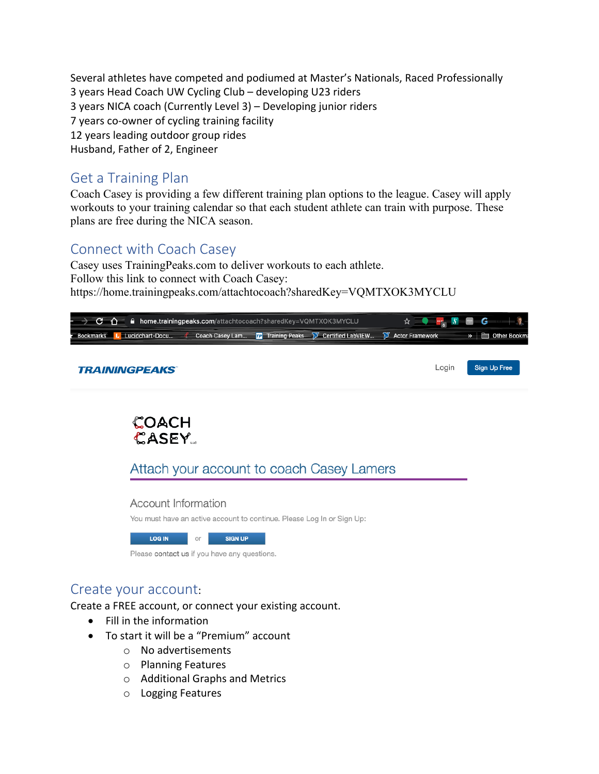Several athletes have competed and podiumed at Master's Nationals, Raced Professionally 3 years Head Coach UW Cycling Club – developing U23 riders 3 years NICA coach (Currently Level 3) – Developing junior riders 7 years co-owner of cycling training facility 12 years leading outdoor group rides Husband, Father of 2, Engineer

## Get a Training Plan

Coach Casey is providing a few different training plan options to the league. Casey will apply workouts to your training calendar so that each student athlete can train with purpose. These plans are free during the NICA season.

## Connect with Coach Casey

Casey uses TrainingPeaks.com to deliver workouts to each athlete. Follow this link to connect with Coach Casey: https://home.trainingpeaks.com/attachtocoach?sharedKey=VQMTXOK3MYCLU



Create a FREE account, or connect your existing account.

- Fill in the information
- To start it will be a "Premium" account
	- o No advertisements
	- o Planning Features
	- o Additional Graphs and Metrics
	- o Logging Features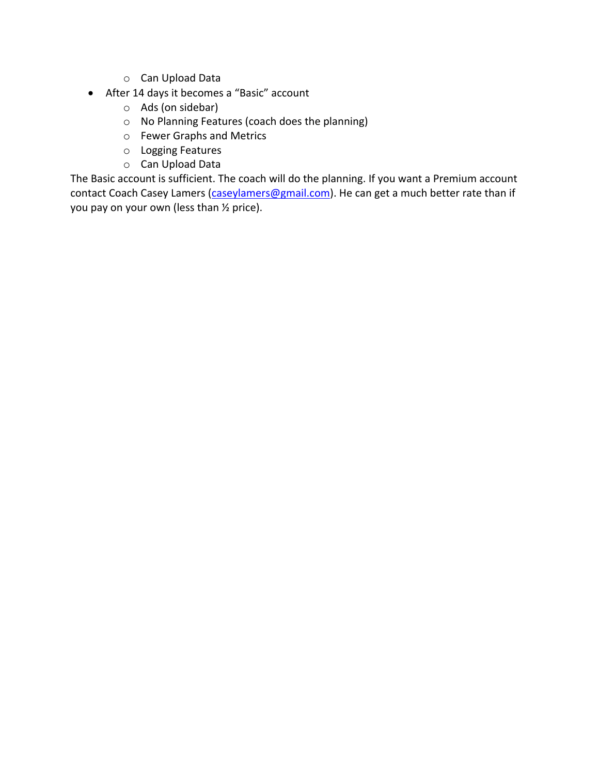- o Can Upload Data
- After 14 days it becomes a "Basic" account
	- o Ads (on sidebar)
	- o No Planning Features (coach does the planning)
	- o Fewer Graphs and Metrics
	- o Logging Features
	- o Can Upload Data

The Basic account is sufficient. The coach will do the planning. If you want a Premium account contact Coach Casey Lamers (caseylamers@gmail.com). He can get a much better rate than if you pay on your own (less than ½ price).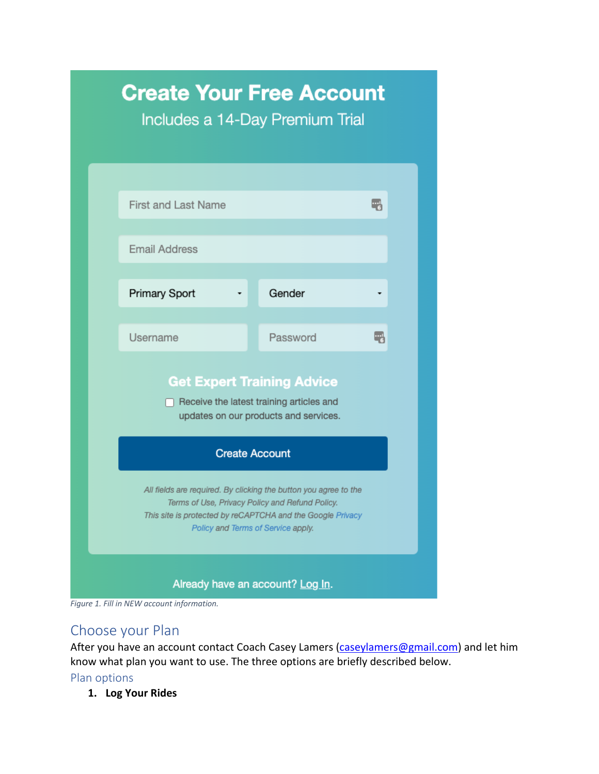# **Create Your Free Account** Includes a 14-Day Premium Trial 輻 **First and Last Name Email Address Primary Sport** Gender Password 굒 Username **Get Expert Training Advice** Receive the latest training articles and updates on our products and services. **Create Account** All fields are required. By clicking the button you agree to the Terms of Use, Privacy Policy and Refund Policy. This site is protected by reCAPTCHA and the Google Privacy Policy and Terms of Service apply. Already have an account? Log In.

*Figure 1. Fill in NEW account information.*

## Choose your Plan

After you have an account contact Coach Casey Lamers (caseylamers@gmail.com) and let him know what plan you want to use. The three options are briefly described below.

#### Plan options

**1. Log Your Rides**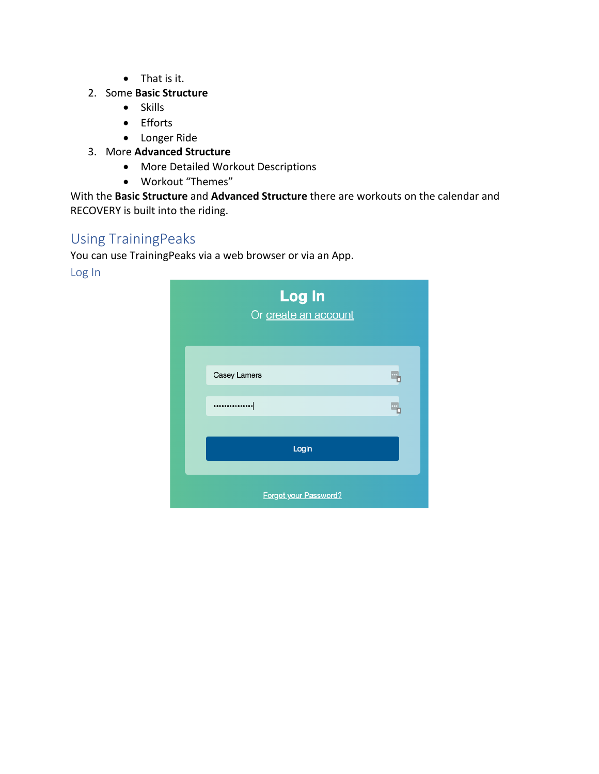- That is it.
- 2. Some **Basic Structure**
	- Skills
	- Efforts
	- Longer Ride
- 3. More **Advanced Structure**
	- More Detailed Workout Descriptions
	- Workout "Themes"

With the **Basic Structure** and **Advanced Structure** there are workouts on the calendar and RECOVERY is built into the riding.

## Using TrainingPeaks

You can use TrainingPeaks via a web browser or via an App.

Log In

| Log In<br>Or create an account |  |
|--------------------------------|--|
|                                |  |
| <b>Casey Lamers</b>            |  |
|                                |  |
|                                |  |
| Login                          |  |
|                                |  |
| Forgot your Password?          |  |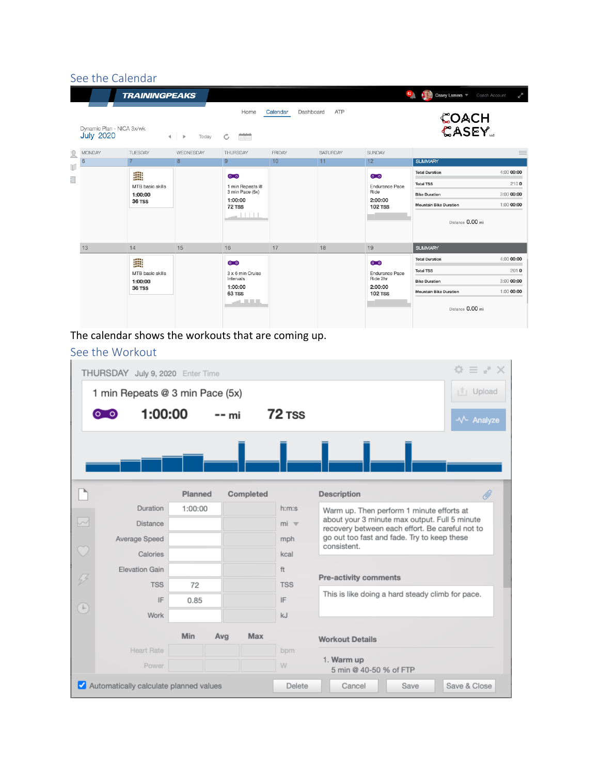## See the Calendar

|        |                                               | <b>TRAININGPEAKS</b>                       |                       |                                                                                       |                       |            | 43                                                               | Casey Lamers $\nabla$ Coach Account                                                                                    | $\mathbf{v}^{\mathbf{H}}$                      |
|--------|-----------------------------------------------|--------------------------------------------|-----------------------|---------------------------------------------------------------------------------------|-----------------------|------------|------------------------------------------------------------------|------------------------------------------------------------------------------------------------------------------------|------------------------------------------------|
|        | Dynamic Plan - NICA 3x/wk<br><b>July 2020</b> | $\blacksquare$                             | Today<br>$\mathbf{p}$ | Home<br>前面<br>Ċ.                                                                      | Dashboard<br>Calendar | <b>ATP</b> |                                                                  | COACH<br>CASEY.                                                                                                        |                                                |
| 2      | <b>MONDAY</b>                                 | <b>TUESDAY</b>                             | WEDNESDAY             | THURSDAY                                                                              | <b>FRIDAY</b>         | SATURDAY   | <b>SUNDAY</b>                                                    |                                                                                                                        | $\equiv$                                       |
|        | $6\phantom{1}6$                               | $\overline{7}$                             | $\overline{8}$        | 9                                                                                     | 10                    | 11         | 12                                                               | <b>SUMMARY</b>                                                                                                         |                                                |
| T<br>П |                                               | 黨<br>MTB basic skills<br>1:00:00<br>36 TSS |                       | $\circ$<br>1 min Repeats @<br>3 min Pace (5x)<br>1:00:00<br>72 TSS<br>- 11111         |                       |            | $\circ$<br>Endurance Pace<br>Ride<br>2:00:00<br><b>102 TSS</b>   | <b>Total Duration</b><br><b>Total TSS</b><br><b>Bike Duration</b><br><b>Mountain Bike Duration</b><br>Distance 0.00 mi | 4:00 00:00<br>2100<br>3:00 00:00<br>1:00 00:00 |
|        | 13                                            | 14                                         | 15                    | 16                                                                                    | 17                    | 18         | 19                                                               | <b>SUMMARY</b>                                                                                                         |                                                |
|        |                                               | 黨<br>MTB basic skills<br>1:00:00<br>36 TSS |                       | 0 <sub>0</sub><br>3 x 6 min Cruise<br>Intervals<br>1:00:00<br>63 TSS<br><b>ALLINE</b> |                       |            | $0$ 0<br>Endurance Pace<br>Ride 2hr<br>2:00:00<br><b>102 TSS</b> | <b>Total Duration</b><br><b>Total TSS</b><br><b>Bike Duration</b><br><b>Mountain Bike Duration</b><br>Distance 0.00 mi | 4:00 00:00<br>2010<br>3:00 00:00<br>1:00 00:00 |

The calendar shows the workouts that are coming up.

| See the Workout                        |         |            |                   |                                                                                                  |                                 |
|----------------------------------------|---------|------------|-------------------|--------------------------------------------------------------------------------------------------|---------------------------------|
| THURSDAY July 9, 2020 Enter Time       |         |            |                   |                                                                                                  | $\Phi \equiv \mathbb{R} \times$ |
| 1 min Repeats @ 3 min Pace (5x)        |         |            |                   |                                                                                                  | I <sup>t</sup> Upload           |
| 1:00:00<br>$\circ$ $\circ$             |         | $--$ mi    | 72 TSS            |                                                                                                  | - $\sqrt{\ }$ Analyze           |
|                                        |         |            |                   |                                                                                                  |                                 |
|                                        | Planned | Completed  |                   | <b>Description</b>                                                                               | O                               |
| Duration                               | 1:00:00 |            | h:m:s             | Warm up. Then perform 1 minute efforts at                                                        |                                 |
| $\sim$<br>Distance                     |         |            | $mi$ $\mathbf{v}$ | about your 3 minute max output. Full 5 minute<br>recovery between each effort. Be careful not to |                                 |
| Average Speed                          |         |            | mph               | go out too fast and fade. Try to keep these<br>consistent.                                       |                                 |
| $\widetilde{\mathbb{C}}$<br>Calories   |         |            | kcal              |                                                                                                  |                                 |
| Elevation Gain                         |         |            | ft.               |                                                                                                  |                                 |
| <b>TSS</b>                             | 72      |            | <b>TSS</b>        | <b>Pre-activity comments</b>                                                                     |                                 |
| IF                                     | 0.85    |            | IF                | This is like doing a hard steady climb for pace.                                                 |                                 |
| $\bigoplus$<br>Work                    |         |            | kJ                |                                                                                                  |                                 |
|                                        | Min     | Max<br>Avg |                   | <b>Workout Details</b>                                                                           |                                 |
| <b>Heart Rate</b>                      |         |            | bpm               |                                                                                                  |                                 |
| Power                                  |         |            | W                 | 1. Warm up<br>5 min @ 40-50 % of FTP                                                             |                                 |
| Automatically calculate planned values |         |            | Delete            | Cancel<br>Save                                                                                   | Save & Close                    |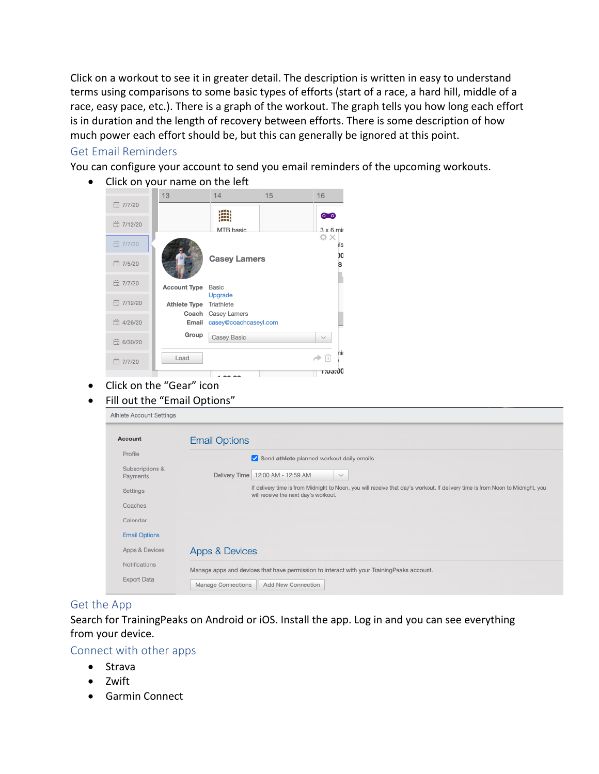Click on a workout to see it in greater detail. The description is written in easy to understand terms using comparisons to some basic types of efforts (start of a race, a hard hill, middle of a race, easy pace, etc.). There is a graph of the workout. The graph tells you how long each effort is in duration and the length of recovery between efforts. There is some description of how much power each effort should be, but this can generally be ignored at this point.

#### Get Email Reminders

You can configure your account to send you email reminders of the upcoming workouts.

- Click on your name on the left  $14$ 13  $15<sup>15</sup>$ 16 自 7/7/20 A  $\circ$ 自 7/12/20 MTB basic  $3 \times 6$  mir ά× 自 7/7/20 lls ĴО **Casey Lamers** □ 7/5/20 s 自 7/7/20 **Account Type Basic** Upgrade 自 7/12/20 Athlete Type Triathlete Coach Casey Lamers □ 4/26/20 Email casey@coachcaseyl.com Group Casey Basic  $\lor$ 自 6/30/20 Load ≁ ⊡ □ 7/7/20  $\frac{1}{2}$  1:03:00  $1.0000$
- Click on the "Gear" icon
- Fill out the "Email Options"

| Account                     | <b>Email Options</b>                                                                                                                                                   |
|-----------------------------|------------------------------------------------------------------------------------------------------------------------------------------------------------------------|
| Profile                     | Send athlete planned workout daily emails                                                                                                                              |
| Subscriptions &<br>Payments | 12:00 AM - 12:59 AM<br>Delivery Time<br>$\checkmark$                                                                                                                   |
| Settings                    | If delivery time is from Midnight to Noon, you will receive that day's workout. If delivery time is from Noon to Midnight, you<br>will receive the next day's workout. |
| Coaches                     |                                                                                                                                                                        |
| Calendar                    |                                                                                                                                                                        |
| <b>Email Options</b>        |                                                                                                                                                                        |
| Apps & Devices              | <b>Apps &amp; Devices</b>                                                                                                                                              |
| Notifications               | Manage apps and devices that have permission to interact with your TrainingPeaks account.                                                                              |

#### Get the App

Search for TrainingPeaks on Android or iOS. Install the app. Log in and you can see everything from your device.

#### Connect with other apps

- Strava
- Zwift
- Garmin Connect